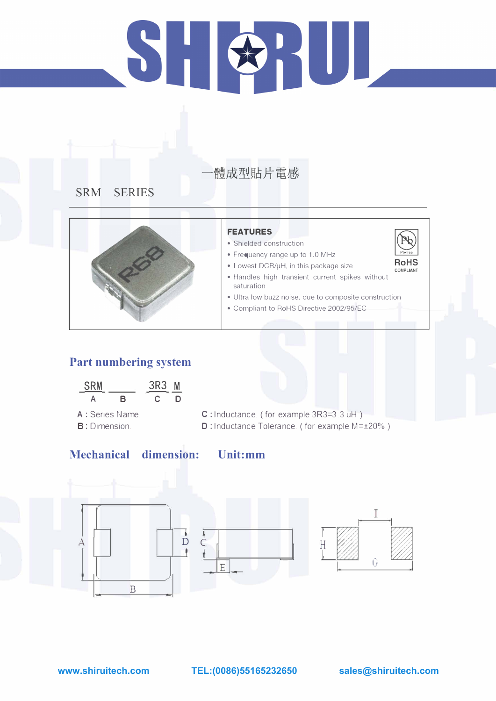## $\sum_{i=1}^{n}$ BRU.

### 體成型貼片電感

### **SRM SERIES**



### **Part numbering system**

| <b>SRM</b> |   | 3R3 |   |
|------------|---|-----|---|
|            | В |     | U |

- A : Series Name. B: Dimension.
- C : Inductance. ( for example 3R3=3.3 uH) D: Inductance Tolerance. ( for example M= $\pm$ 20%)

### **Mechanical dimension:**

·· ..

### **FEATURES**

- Shielded construction
- Frequency range up to 1.0 MHz

- Lowest DCR/µH, in this package size • Handles high transient current spikes without
- saturation
- Ultra low buzz noise, due to composite construction
- Compliant to RoHS Directive 2002/95/EC





**Unit:mm**